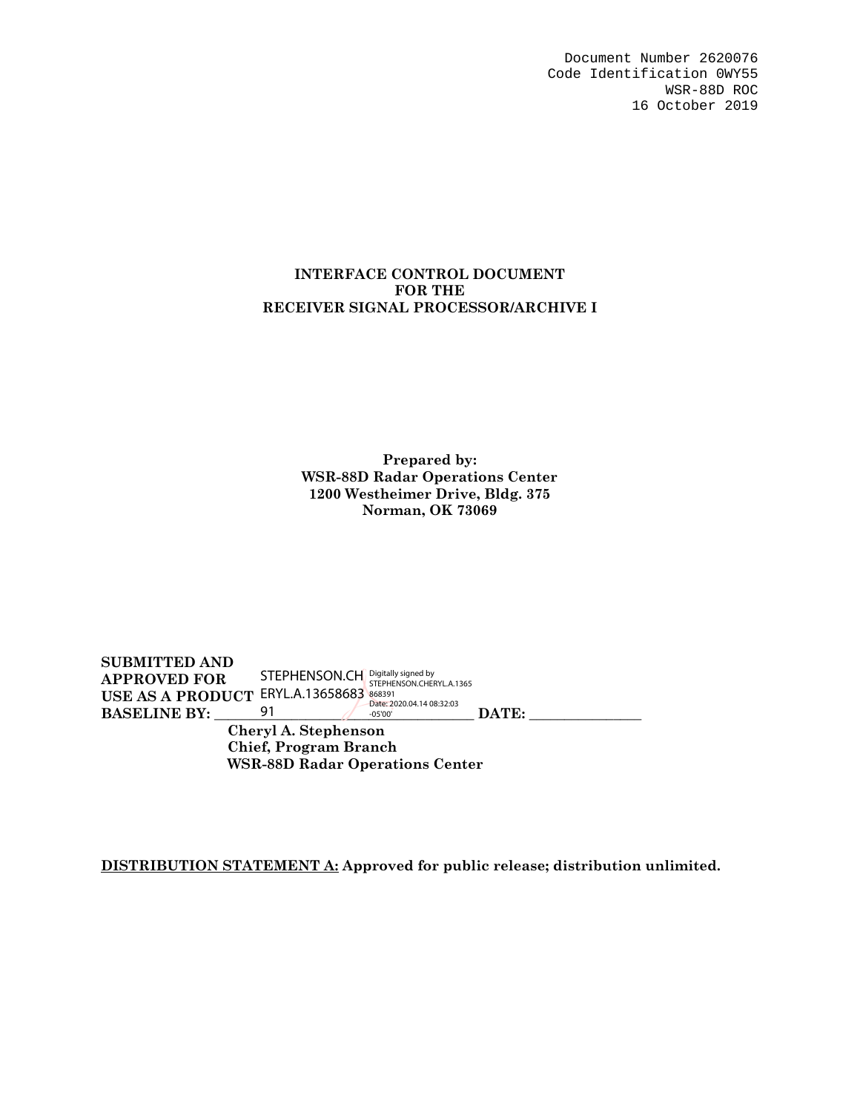Document Number 2620076 Code Identification 0WY55 WSR-88D ROC 16 October 2019

#### **INTERFACE CONTROL DOCUMENT FOR THE RECEIVER SIGNAL PROCESSOR/ARCHIVE I**

**Prepared by: WSR-88D Radar Operations Center 1200 Westheimer Drive, Bldg. 375 Norman, OK 73069** 

**SUBMITTED AND APPROVED FOR USE AS A PRODUCT BASELINE BY:** 91 08 08 DATE: **Cheryl A. Stephenson Chief, Program Branch WSR-88D Radar Operations Center**  STEPHENSON.CH ERYL.A.13658683 91 Digitally signed by<br>STEPHENSON.CHERYL.A.1365<br>868391<br>Date: 2020.04.14 08:32:03<br>-05'00'

**DISTRIBUTION STATEMENT A: Approved for public release; distribution unlimited.**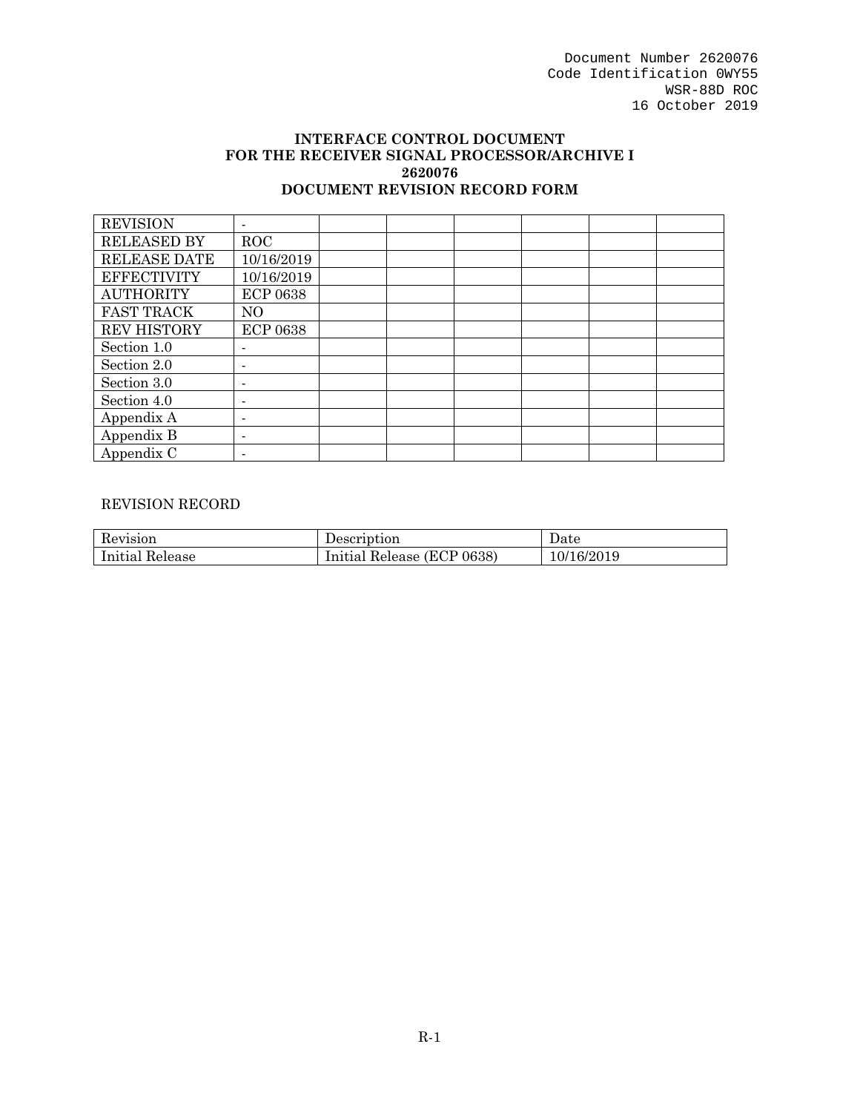Document Number 2620076 Code Identification 0WY55 WSR-88D ROC 16 October 2019

#### **INTERFACE CONTROL DOCUMENT FOR THE RECEIVER SIGNAL PROCESSOR/ARCHIVE I 2620076 DOCUMENT REVISION RECORD FORM**

| <b>REVISION</b>    |                          |  |  |  |
|--------------------|--------------------------|--|--|--|
| <b>RELEASED BY</b> | <b>ROC</b>               |  |  |  |
| RELEASE DATE       | 10/16/2019               |  |  |  |
| <b>EFFECTIVITY</b> | 10/16/2019               |  |  |  |
| <b>AUTHORITY</b>   | <b>ECP 0638</b>          |  |  |  |
| <b>FAST TRACK</b>  | NO                       |  |  |  |
| <b>REV HISTORY</b> | <b>ECP 0638</b>          |  |  |  |
| Section 1.0        |                          |  |  |  |
| Section 2.0        | $\overline{\phantom{0}}$ |  |  |  |
| Section 3.0        |                          |  |  |  |
| Section 4.0        |                          |  |  |  |
| Appendix A         | -                        |  |  |  |
| Appendix B         | ۰                        |  |  |  |
| Appendix C         |                          |  |  |  |

#### REVISION RECORD

| Revision           | Jescription                      | Date            |
|--------------------|----------------------------------|-----------------|
| Initial<br>Release | (ECP 0638)<br>Release<br>Initial | 16/2019<br>10/1 |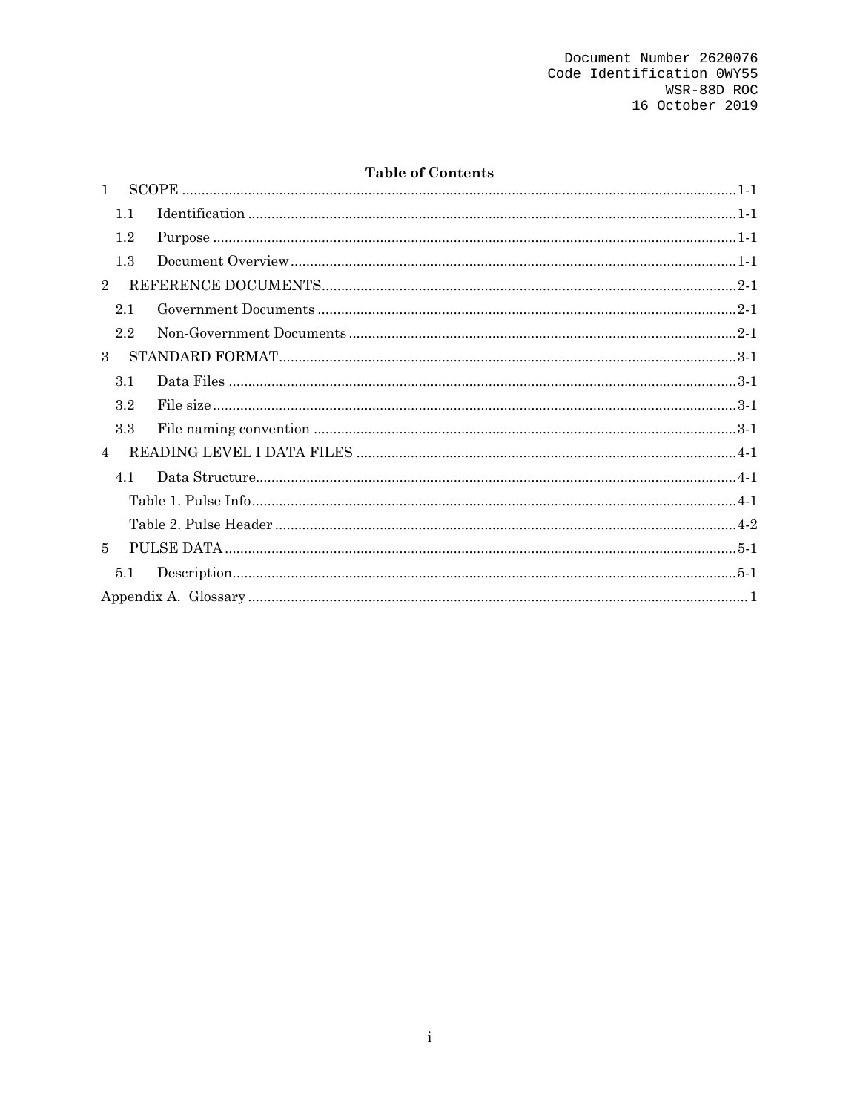## **Table of Contents**

| $\mathbf{1}$   |         |  |  |
|----------------|---------|--|--|
|                | 1.1     |  |  |
|                | $1.2\,$ |  |  |
|                | 1.3     |  |  |
| $\overline{2}$ |         |  |  |
|                | 2.1     |  |  |
|                | 2.2     |  |  |
| $\mathbf{3}$   |         |  |  |
|                | 3.1     |  |  |
|                | 3.2     |  |  |
|                | 3.3     |  |  |
| $\overline{4}$ |         |  |  |
|                | 4.1     |  |  |
|                |         |  |  |
|                |         |  |  |
| 5              |         |  |  |
|                | 5.1     |  |  |
|                |         |  |  |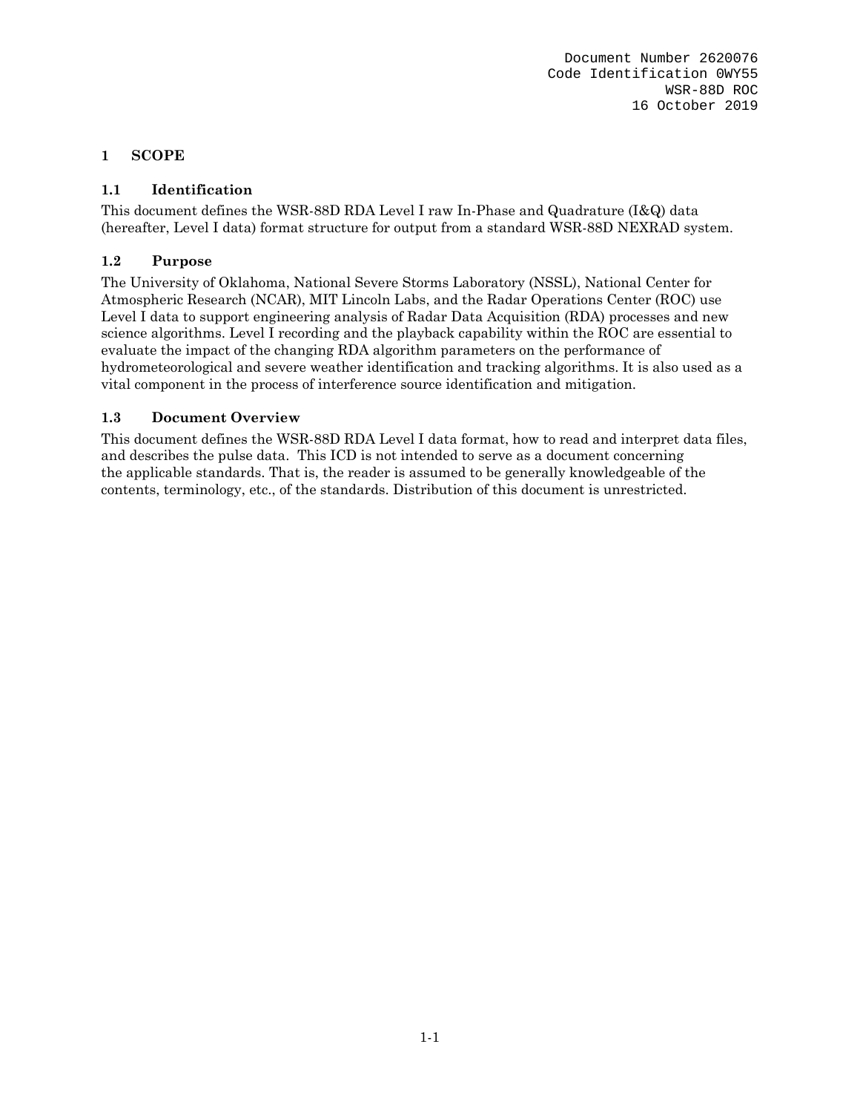Document Number 2620076 Code Identification 0WY55 WSR-88D ROC 16 October 2019

#### **1 SCOPE**

## **1.1 Identification**

This document defines the WSR-88D RDA Level I raw In-Phase and Quadrature (I&Q) data (hereafter, Level I data) format structure for output from a standard WSR-88D NEXRAD system.

#### **1.2 Purpose**

The University of Oklahoma, National Severe Storms Laboratory (NSSL), National Center for Atmospheric Research (NCAR), MIT Lincoln Labs, and the Radar Operations Center (ROC) use Level I data to support engineering analysis of Radar Data Acquisition (RDA) processes and new science algorithms. Level I recording and the playback capability within the ROC are essential to evaluate the impact of the changing RDA algorithm parameters on the performance of hydrometeorological and severe weather identification and tracking algorithms. It is also used as a vital component in the process of interference source identification and mitigation.

#### **1.3 Document Overview**

This document defines the WSR-88D RDA Level I data format, how to read and interpret data files, and describes the pulse data. This ICD is not intended to serve as a document concerning the applicable standards. That is, the reader is assumed to be generally knowledgeable of the contents, terminology, etc., of the standards. Distribution of this document is unrestricted.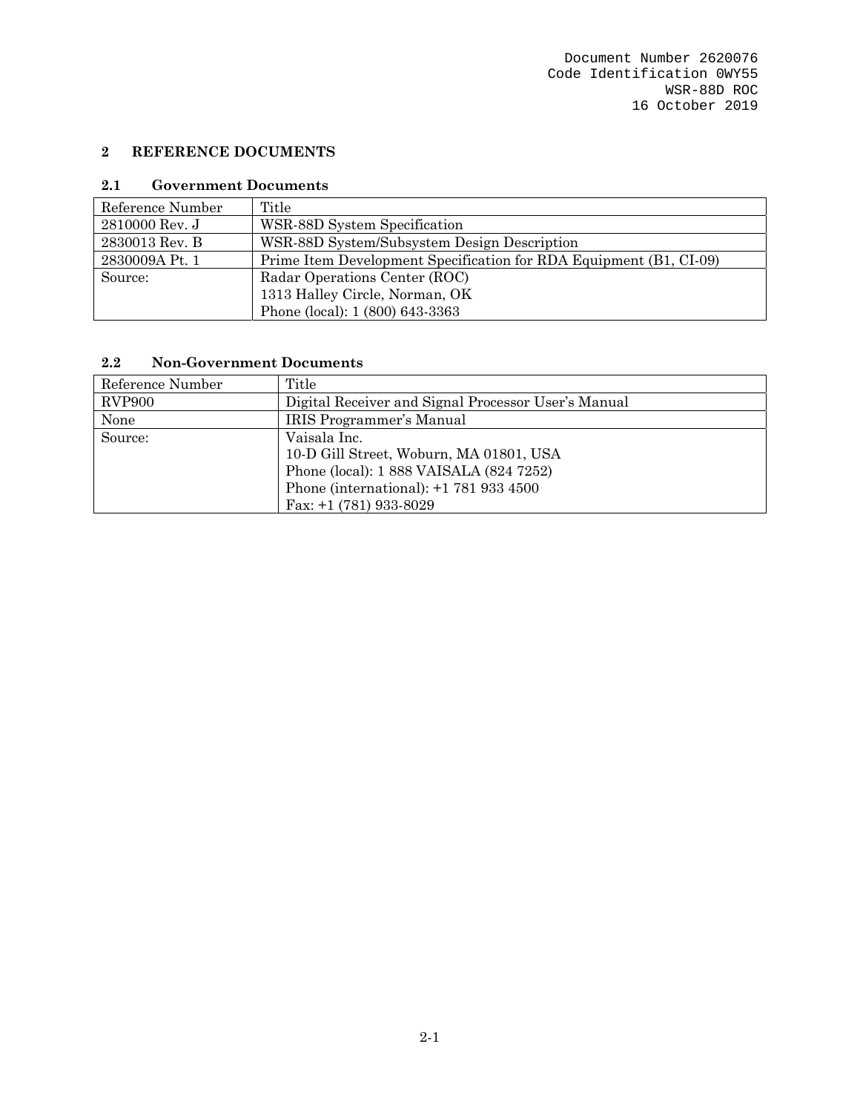## **2 REFERENCE DOCUMENTS**

#### **2.1 Government Documents**

| Reference Number | Title                                                              |
|------------------|--------------------------------------------------------------------|
| 2810000 Rev. J   | WSR-88D System Specification                                       |
| 2830013 Rev. B   | WSR-88D System/Subsystem Design Description                        |
| 2830009A Pt. 1   | Prime Item Development Specification for RDA Equipment (B1, CI-09) |
| Source:          | Radar Operations Center (ROC)                                      |
|                  | 1313 Halley Circle, Norman, OK                                     |
|                  | Phone (local): 1 (800) 643-3363                                    |

## **2.2 Non-Government Documents**

| Reference Number | Title                                               |
|------------------|-----------------------------------------------------|
| <b>RVP900</b>    | Digital Receiver and Signal Processor User's Manual |
| None             | <b>IRIS Programmer's Manual</b>                     |
| Source:          | Vaisala Inc.                                        |
|                  | 10-D Gill Street, Woburn, MA 01801, USA             |
|                  | Phone (local): 1 888 VAISALA (824 7252)             |
|                  | Phone (international): $+1$ 781 933 4500            |
|                  | Fax: $+1$ (781) 933-8029                            |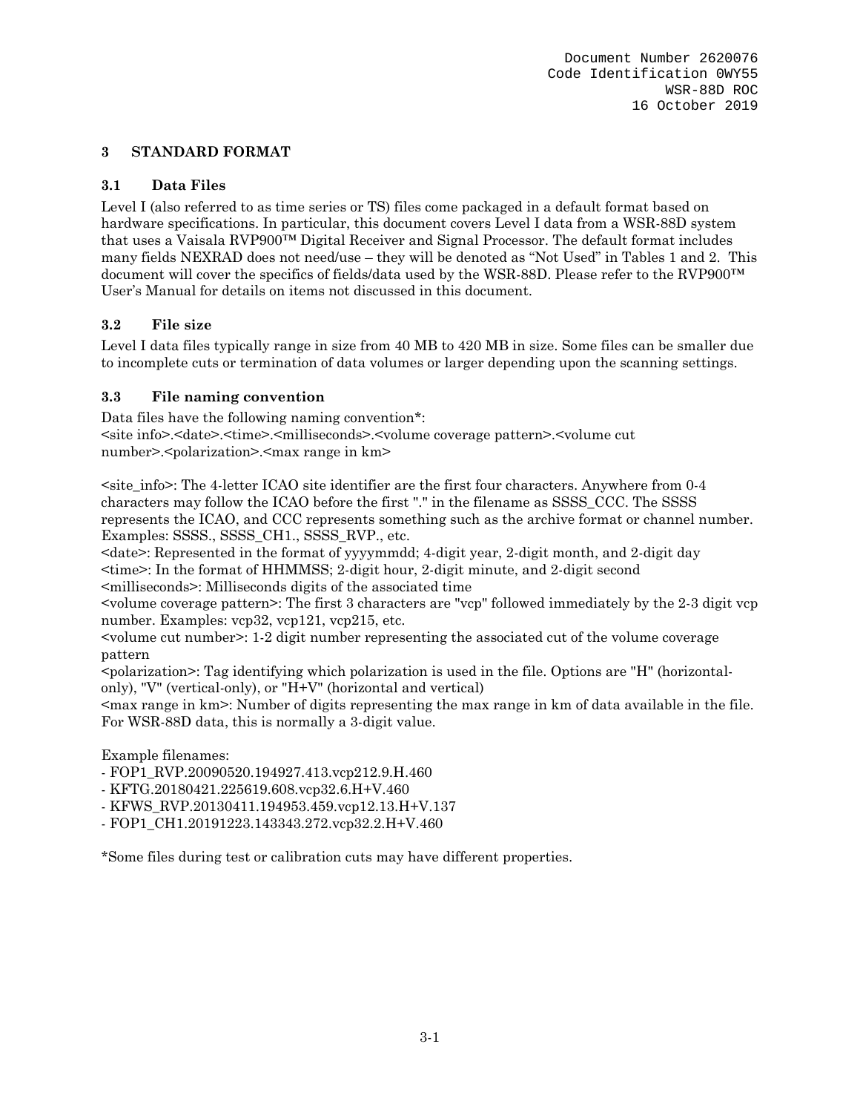## **3 STANDARD FORMAT**

## **3.1 Data Files**

Level I (also referred to as time series or TS) files come packaged in a default format based on hardware specifications. In particular, this document covers Level I data from a WSR-88D system that uses a Vaisala RVP900™ Digital Receiver and Signal Processor. The default format includes many fields NEXRAD does not need/use – they will be denoted as "Not Used" in Tables 1 and 2. This document will cover the specifics of fields/data used by the WSR-88D. Please refer to the RVP900™ User's Manual for details on items not discussed in this document.

## **3.2 File size**

Level I data files typically range in size from 40 MB to 420 MB in size. Some files can be smaller due to incomplete cuts or termination of data volumes or larger depending upon the scanning settings.

## **3.3 File naming convention**

Data files have the following naming convention\*: <site info>.<date>.<time>.<milliseconds>.<volume coverage pattern>.<volume cut number>.<polarization>.<max range in km>

 $\leq$  site info $\geq$ : The 4-letter ICAO site identifier are the first four characters. Anywhere from 0-4 characters may follow the ICAO before the first "." in the filename as SSSS\_CCC. The SSSS represents the ICAO, and CCC represents something such as the archive format or channel number. Examples: SSSS., SSSS CH1., SSSS RVP., etc.

 $\langle \text{date}\rangle$ : Represented in the format of yyyymmdd; 4-digit year, 2-digit month, and 2-digit day <time>: In the format of HHMMSS; 2-digit hour, 2-digit minute, and 2-digit second <milliseconds>: Milliseconds digits of the associated time

<volume coverage pattern>: The first 3 characters are "vcp" followed immediately by the 2-3 digit vcp number. Examples: vcp32, vcp121, vcp215, etc.

 $\le$ volume cut number $\ge$ : 1-2 digit number representing the associated cut of the volume coverage pattern

<polarization>: Tag identifying which polarization is used in the file. Options are "H" (horizontalonly), "V" (vertical-only), or "H+V" (horizontal and vertical)

<max range in km>: Number of digits representing the max range in km of data available in the file. For WSR-88D data, this is normally a 3-digit value.

Example filenames:

- FOP1\_RVP.20090520.194927.413.vcp212.9.H.460

- KFTG.20180421.225619.608.vcp32.6.H+V.460
- KFWS\_RVP.20130411.194953.459.vcp12.13.H+V.137
- FOP1\_CH1.20191223.143343.272.vcp32.2.H+V.460

\*Some files during test or calibration cuts may have different properties.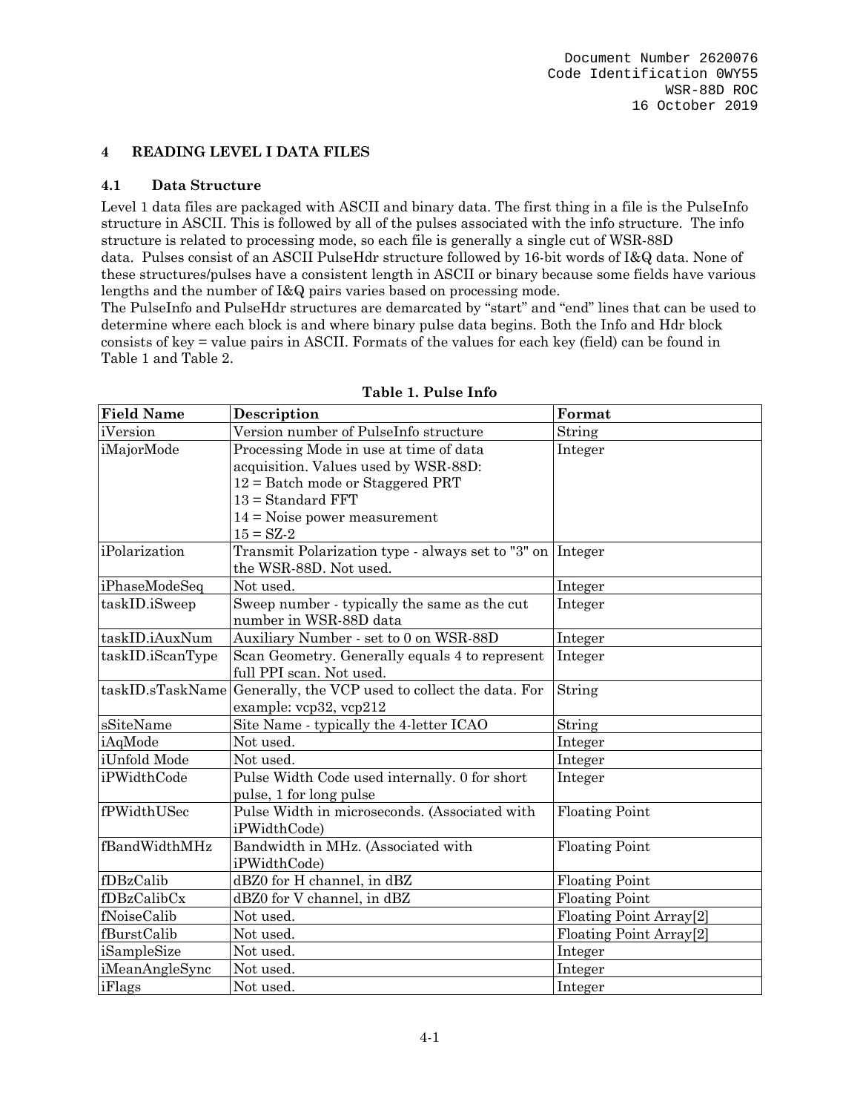## **4 READING LEVEL I DATA FILES**

#### **4.1 Data Structure**

Level 1 data files are packaged with ASCII and binary data. The first thing in a file is the PulseInfo structure in ASCII. This is followed by all of the pulses associated with the info structure. The info structure is related to processing mode, so each file is generally a single cut of WSR-88D data. Pulses consist of an ASCII PulseHdr structure followed by 16-bit words of I&Q data. None of these structures/pulses have a consistent length in ASCII or binary because some fields have various lengths and the number of I&Q pairs varies based on processing mode.

The PulseInfo and PulseHdr structures are demarcated by "start" and "end" lines that can be used to determine where each block is and where binary pulse data begins. Both the Info and Hdr block consists of key = value pairs in ASCII. Formats of the values for each key (field) can be found in Table 1 and Table 2.

| <b>Field Name</b> | Description                                                                           | Format                              |  |
|-------------------|---------------------------------------------------------------------------------------|-------------------------------------|--|
| iVersion          | Version number of PulseInfo structure                                                 | String                              |  |
| iMajorMode        | Processing Mode in use at time of data                                                | Integer                             |  |
|                   | acquisition. Values used by WSR-88D:                                                  |                                     |  |
|                   | $12 =$ Batch mode or Staggered PRT                                                    |                                     |  |
|                   | $13 = Standard FFT$                                                                   |                                     |  |
|                   | $14 =$ Noise power measurement                                                        |                                     |  |
|                   | $15 = SZ - 2$                                                                         |                                     |  |
| iPolarization     | Transmit Polarization type - always set to "3" on   Integer<br>the WSR-88D. Not used. |                                     |  |
| iPhaseModeSeq     | Not used.                                                                             | Integer                             |  |
| taskID.iSweep     | Sweep number - typically the same as the cut<br>number in WSR-88D data                | Integer                             |  |
| taskID.iAuxNum    | Auxiliary Number - set to 0 on WSR-88D                                                | Integer                             |  |
| taskID.iScanType  | Scan Geometry. Generally equals 4 to represent                                        | Integer                             |  |
|                   | full PPI scan. Not used.                                                              |                                     |  |
| taskID.sTaskName  | Generally, the VCP used to collect the data. For                                      | String                              |  |
|                   | example: vcp32, vcp212                                                                |                                     |  |
| sSiteName         | Site Name - typically the 4-letter ICAO                                               | String                              |  |
| iAqMode           | Not used.                                                                             | Integer                             |  |
| iUnfold Mode      | Not used.                                                                             | Integer                             |  |
| iPWidthCode       | Pulse Width Code used internally. 0 for short                                         | Integer                             |  |
|                   | pulse, 1 for long pulse                                                               |                                     |  |
| fPWidthUSec       | Pulse Width in microseconds. (Associated with                                         | <b>Floating Point</b>               |  |
|                   | iPWidthCode)                                                                          |                                     |  |
| fBandWidthMHz     | Bandwidth in MHz. (Associated with                                                    | Floating Point                      |  |
|                   | iPWidthCode)                                                                          |                                     |  |
| fDBzCalib         | dBZ0 for H channel, in dBZ                                                            | <b>Floating Point</b>               |  |
| fDBzCalibCx       | dBZ0 for V channel, in dBZ                                                            | <b>Floating Point</b>               |  |
| fNoiseCalib       | Not used.                                                                             | Floating Point Array <sup>[2]</sup> |  |
| fBurstCalib       | Not used.                                                                             | Floating Point Array[2]             |  |
| iSampleSize       | Not used.                                                                             | Integer                             |  |
| iMeanAngleSync    | Not used.                                                                             | Integer                             |  |
| iFlags            | Not used.                                                                             | Integer                             |  |

#### **Table 1. Pulse Info**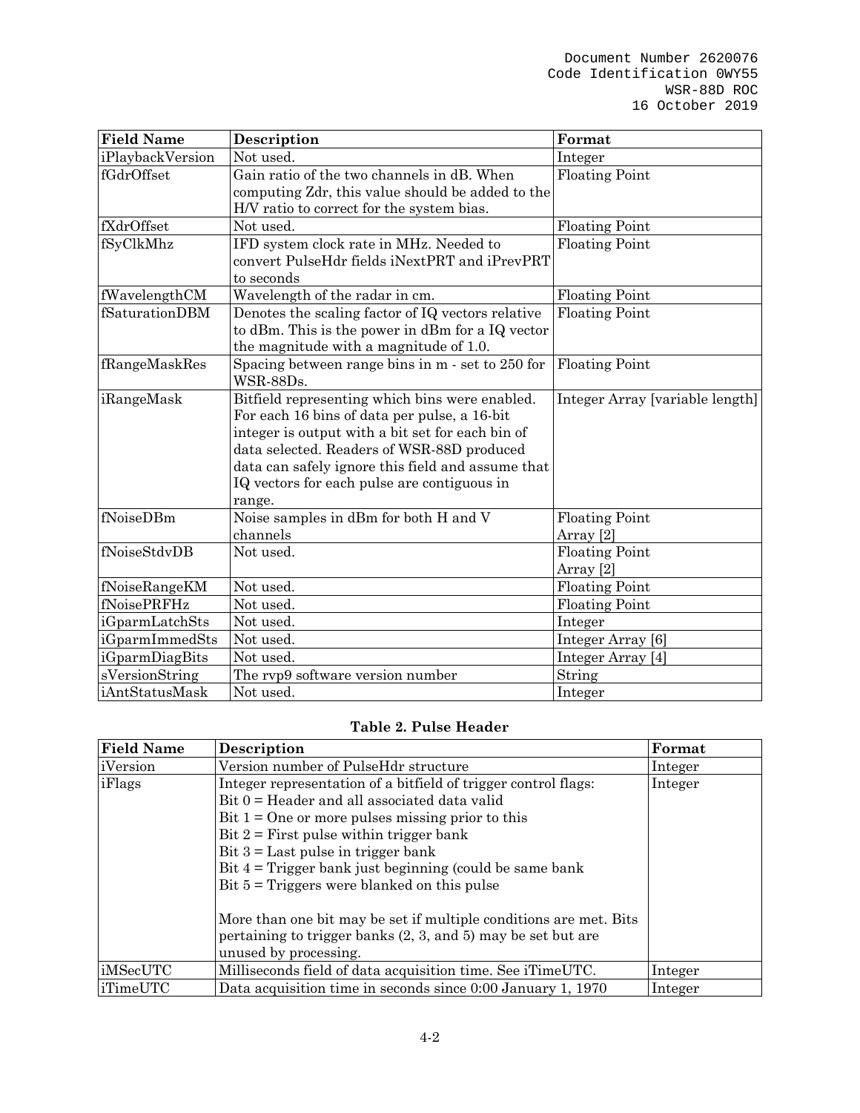| <b>Field Name</b> | Description                                                                                                                                                                                                                                                                                                    | Format                                        |
|-------------------|----------------------------------------------------------------------------------------------------------------------------------------------------------------------------------------------------------------------------------------------------------------------------------------------------------------|-----------------------------------------------|
| iPlaybackVersion  | Not used.                                                                                                                                                                                                                                                                                                      | Integer                                       |
| fGdrOffset        | Gain ratio of the two channels in dB. When<br>computing Zdr, this value should be added to the<br>H/V ratio to correct for the system bias.                                                                                                                                                                    | <b>Floating Point</b>                         |
| fXdrOffset        | Not used.                                                                                                                                                                                                                                                                                                      | <b>Floating Point</b>                         |
| fSyClkMhz         | IFD system clock rate in MHz. Needed to<br>convert PulseHdr fields iNextPRT and iPrevPRT<br>to seconds                                                                                                                                                                                                         | <b>Floating Point</b>                         |
| fWavelengthCM     | Wavelength of the radar in cm.                                                                                                                                                                                                                                                                                 | <b>Floating Point</b>                         |
| fSaturationDBM    | Denotes the scaling factor of IQ vectors relative<br>to dBm. This is the power in dBm for a IQ vector<br>the magnitude with a magnitude of 1.0.                                                                                                                                                                | <b>Floating Point</b>                         |
| fRangeMaskRes     | Spacing between range bins in m - set to 250 for<br>WSR-88Ds.                                                                                                                                                                                                                                                  | <b>Floating Point</b>                         |
| iRangeMask        | Bitfield representing which bins were enabled.<br>For each 16 bins of data per pulse, a 16-bit<br>integer is output with a bit set for each bin of<br>data selected. Readers of WSR-88D produced<br>data can safely ignore this field and assume that<br>IQ vectors for each pulse are contiguous in<br>range. | Integer Array [variable length]               |
| fNoiseDBm         | Noise samples in dBm for both H and V<br>channels                                                                                                                                                                                                                                                              | <b>Floating Point</b><br>Array <sup>[2]</sup> |
| fNoiseStdvDB      | Not used.                                                                                                                                                                                                                                                                                                      | <b>Floating Point</b><br>Array <sup>[2]</sup> |
| fNoiseRangeKM     | Not used.                                                                                                                                                                                                                                                                                                      | <b>Floating Point</b>                         |
| fNoisePRFHz       | Not used.                                                                                                                                                                                                                                                                                                      | <b>Floating Point</b>                         |
| iGparmLatchSts    | Not used.                                                                                                                                                                                                                                                                                                      | Integer                                       |
| iGparmImmedSts    | Not used.                                                                                                                                                                                                                                                                                                      | Integer Array [6]                             |
| iGparmDiagBits    | Not used.                                                                                                                                                                                                                                                                                                      | Integer Array [4]                             |
| sVersionString    | The rvp9 software version number                                                                                                                                                                                                                                                                               | String                                        |
| iAntStatusMask    | Not used.                                                                                                                                                                                                                                                                                                      | Integer                                       |

## **Table 2. Pulse Header**

| <b>Field Name</b> | Description                                                                                                                                                                                                                                                                                                               | Format  |
|-------------------|---------------------------------------------------------------------------------------------------------------------------------------------------------------------------------------------------------------------------------------------------------------------------------------------------------------------------|---------|
| iVersion          | Version number of PulseHdr structure                                                                                                                                                                                                                                                                                      | Integer |
| iFlags            | Integer representation of a bitfield of trigger control flags:<br>$Bit 0 = Header and all associated data valid$<br>Bit $1 =$ One or more pulses missing prior to this<br>Bit $2 =$ First pulse within trigger bank<br>Bit $3 =$ Last pulse in trigger bank<br>Bit $4 =$ Trigger bank just beginning (could be same bank) | Integer |
|                   | Bit $5 = Triggers$ were blanked on this pulse<br>More than one bit may be set if multiple conditions are met. Bits<br>pertaining to trigger banks (2, 3, and 5) may be set but are<br>unused by processing.                                                                                                               |         |
| iMSecUTC          | Milliseconds field of data acquisition time. See iTimeUTC.                                                                                                                                                                                                                                                                | Integer |
| iTimeUTC          | Data acquisition time in seconds since 0:00 January 1, 1970                                                                                                                                                                                                                                                               | Integer |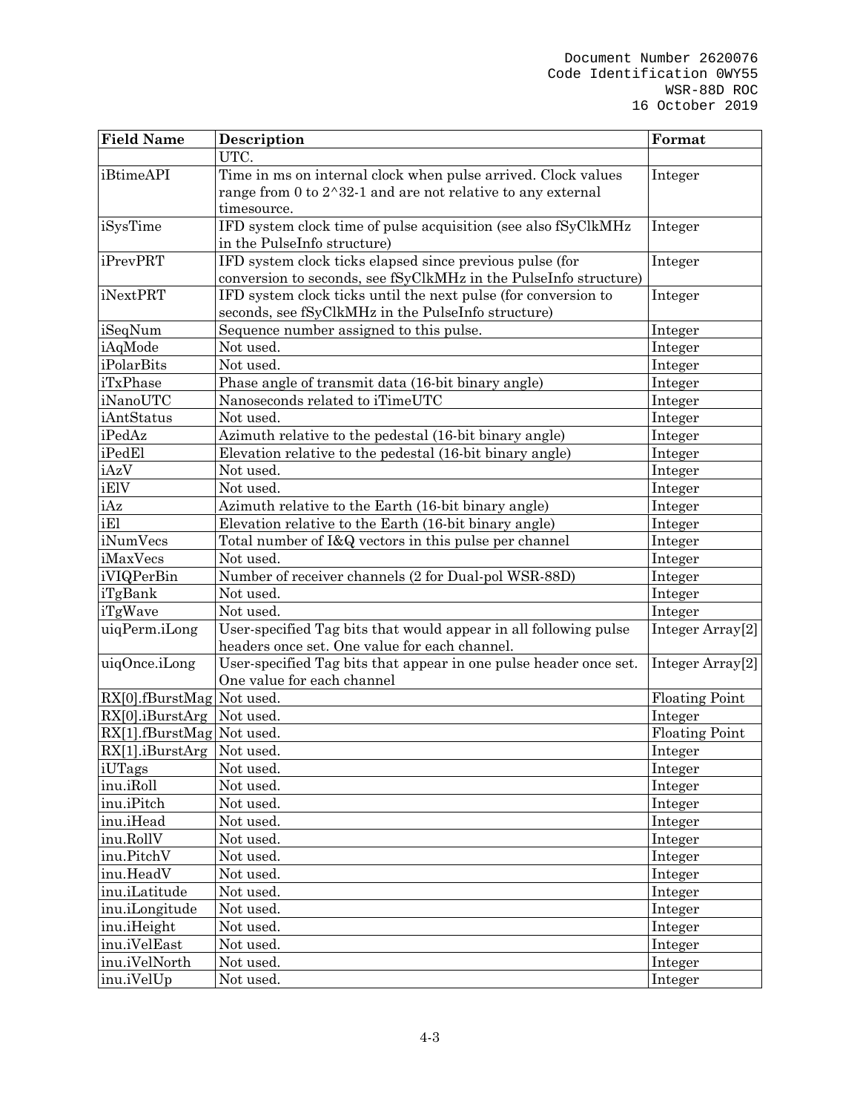| <b>Field Name</b>           | Description                                                            | Format                       |
|-----------------------------|------------------------------------------------------------------------|------------------------------|
|                             | UTC.                                                                   |                              |
| iBtimeAPI                   | Time in ms on internal clock when pulse arrived. Clock values          | Integer                      |
|                             | range from 0 to $2^{\wedge}32$ -1 and are not relative to any external |                              |
|                             | timesource.                                                            |                              |
| iSysTime                    | IFD system clock time of pulse acquisition (see also fSyClkMHz         | Integer                      |
|                             | in the PulseInfo structure)                                            |                              |
| iPrevPRT                    | IFD system clock ticks elapsed since previous pulse (for               | Integer                      |
|                             | conversion to seconds, see fSyClkMHz in the PulseInfo structure)       |                              |
| iNextPRT                    | IFD system clock ticks until the next pulse (for conversion to         | Integer                      |
|                             | seconds, see fSyClkMHz in the PulseInfo structure)                     |                              |
| iSeqNum                     | Sequence number assigned to this pulse.                                | Integer                      |
| iAqMode                     | Not used.                                                              | Integer                      |
| iPolarBits                  | Not used.                                                              | Integer                      |
| iTxPhase                    | Phase angle of transmit data (16-bit binary angle)                     | Integer                      |
| iNanoUTC                    | Nanoseconds related to iTimeUTC                                        | Integer                      |
| iAntStatus                  | Not used.                                                              | Integer                      |
| iPedAz                      | Azimuth relative to the pedestal (16-bit binary angle)                 | Integer                      |
| iPedEl                      | Elevation relative to the pedestal (16-bit binary angle)               | Integer                      |
| iAzV                        | Not used.                                                              | Integer                      |
| iElV                        | Not used.                                                              | Integer                      |
| iAz                         | Azimuth relative to the Earth (16-bit binary angle)                    | Integer                      |
| iEl                         | Elevation relative to the Earth (16-bit binary angle)                  | Integer                      |
| iNumVecs                    | Total number of I&Q vectors in this pulse per channel                  | Integer                      |
| iMaxVecs                    | Not used.                                                              | Integer                      |
| iVIQPerBin                  | Number of receiver channels (2 for Dual-pol WSR-88D)                   | Integer                      |
| iTgBank                     | Not used.                                                              | Integer                      |
| iTgWave                     | Not used.                                                              | Integer                      |
| uiqPerm.iLong               | User-specified Tag bits that would appear in all following pulse       | Integer Array <sup>[2]</sup> |
|                             | headers once set. One value for each channel.                          |                              |
| uiqOnce.iLong               | User-specified Tag bits that appear in one pulse header once set.      | Integer Array <sup>[2]</sup> |
|                             | One value for each channel                                             |                              |
| RX[0].fBurstMag Not used.   |                                                                        | <b>Floating Point</b>        |
| RX[0].iBurstArg Not used.   |                                                                        | Integer                      |
| RX[1].fBurstMag Not used.   |                                                                        | <b>Floating Point</b>        |
| RX[1].iBurstArg Not used.   |                                                                        | Integer                      |
| iUTags<br>inu.iRoll         | Not used.                                                              | Integer                      |
| inu.iPitch                  | Not used.<br>Not used.                                                 | Integer                      |
| inu.iHead                   | Not used.                                                              | Integer                      |
| inu.RollV                   | Not used.                                                              | Integer                      |
| inu.PitchV                  | Not used.                                                              | Integer                      |
| inu.HeadV                   | Not used.                                                              | Integer                      |
| inu.iLatitude               | Not used.                                                              | Integer                      |
|                             |                                                                        | Integer                      |
| inu.iLongitude              | Not used.                                                              | Integer                      |
| inu.iHeight<br>inu.iVelEast | Not used.<br>Not used.                                                 | Integer                      |
| inu.iVelNorth               | Not used.                                                              | Integer                      |
| inu.iVelUp                  | Not used.                                                              | Integer                      |
|                             |                                                                        | Integer                      |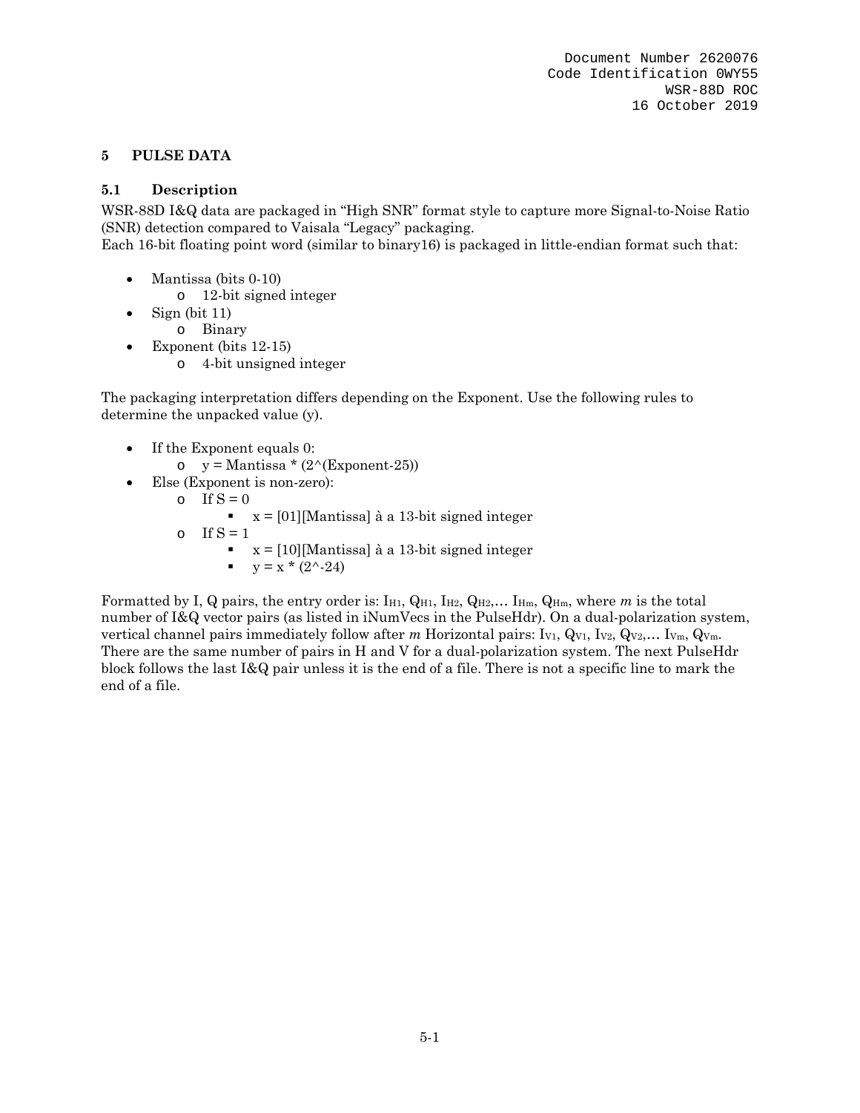## **5 PULSE DATA**

## **5.1 Description**

WSR-88D I&Q data are packaged in "High SNR" format style to capture more Signal-to-Noise Ratio (SNR) detection compared to Vaisala "Legacy" packaging.

Each 16-bit floating point word (similar to binary16) is packaged in little-endian format such that:

- Mantissa (bits 0-10)
	- o 12-bit signed integer
- $\bullet$  Sign (bit 11)
	- o Binary
- Exponent (bits 12-15)
	- o 4-bit unsigned integer

The packaging interpretation differs depending on the Exponent. Use the following rules to determine the unpacked value (y).

- If the Exponent equals 0:
	- $\circ$  y = Mantissa \* (2^(Exponent-25))
- Else (Exponent is non-zero):
	- $\circ$  If  $S = 0$ 
		- $x = [01]$ [Mantissa] à a 13-bit signed integer
	- o If  $S = 1$ 
		- $\textbf{x} = \begin{bmatrix} 10 \end{bmatrix}$ [Mantissa] à a 13-bit signed integer
			- $\bullet$  y = x \* (2^-24)

Formatted by I, Q pairs, the entry order is:  $I_{H1}$ ,  $Q_{H1}$ ,  $I_{H2}$ ,  $Q_{H2}$ ,...  $I_{Hm}$ ,  $Q_{Hm}$ , where *m* is the total number of I&Q vector pairs (as listed in iNumVecs in the PulseHdr). On a dual-polarization system, vertical channel pairs immediately follow after *m* Horizontal pairs: I<sub>V1</sub>, Q<sub>V1</sub>, I<sub>V2</sub>, Q<sub>V2</sub>,... I<sub>Vm</sub>, Q<sub>Vm</sub>. There are the same number of pairs in H and V for a dual-polarization system. The next PulseHdr block follows the last I&Q pair unless it is the end of a file. There is not a specific line to mark the end of a file.